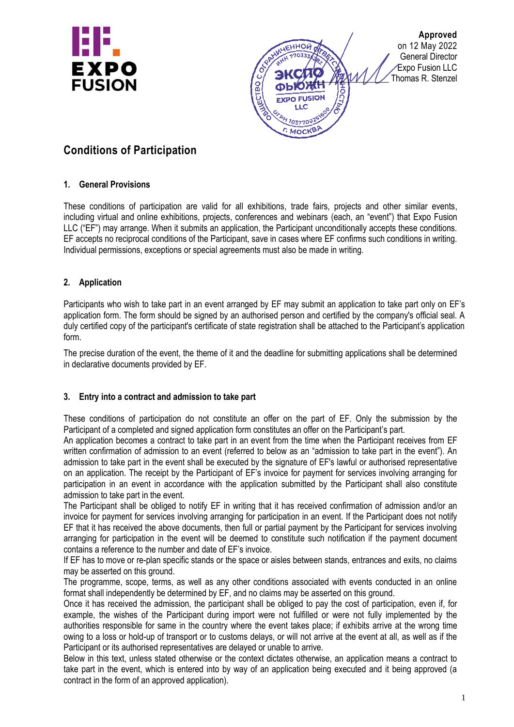



# **Conditions of Participation**

#### **1. General Provisions**

These conditions of participation are valid for all exhibitions, trade fairs, projects and other similar events, including virtual and online exhibitions, projects, conferences and webinars (each, an "event") that Expo Fusion LLC ("EF") may arrange. When it submits an application, the Participant unconditionally accepts these conditions. EF accepts no reciprocal conditions of the Participant, save in cases where EF confirms such conditions in writing. Individual permissions, exceptions or special agreements must also be made in writing.

#### **2. Application**

Participants who wish to take part in an event arranged by EF may submit an application to take part only on EF's application form. The form should be signed by an authorised person and certified by the company's official seal. A duly certified copy of the participant's certificate of state registration shall be attached to the Participant's application form.

The precise duration of the event, the theme of it and the deadline for submitting applications shall be determined in declarative documents provided by EF.

#### **3. Entry into a contract and admission to take part**

These conditions of participation do not constitute an offer on the part of EF. Only the submission by the Participant of a completed and signed application form constitutes an offer on the Participant's part.

An application becomes a contract to take part in an event from the time when the Participant receives from EF written confirmation of admission to an event (referred to below as an "admission to take part in the event"). An admission to take part in the event shall be executed by the signature of EF's lawful or authorised representative on an application. The receipt by the Participant of EF's invoice for payment for services involving arranging for participation in an event in accordance with the application submitted by the Participant shall also constitute admission to take part in the event.

The Participant shall be obliged to notify EF in writing that it has received confirmation of admission and/or an invoice for payment for services involving arranging for participation in an event. If the Participant does not notify EF that it has received the above documents, then full or partial payment by the Participant for services involving arranging for participation in the event will be deemed to constitute such notification if the payment document contains a reference to the number and date of EF's invoice.

If EF has to move or re-plan specific stands or the space or aisles between stands, entrances and exits, no claims may be asserted on this ground.

The programme, scope, terms, as well as any other conditions associated with events conducted in an online format shall independently be determined by EF, and no claims may be asserted on this ground.

Once it has received the admission, the participant shall be obliged to pay the cost of participation, even if, for example, the wishes of the Participant during import were not fulfilled or were not fully implemented by the authorities responsible for same in the country where the event takes place; if exhibits arrive at the wrong time owing to a loss or hold-up of transport or to customs delays, or will not arrive at the event at all, as well as if the Participant or its authorised representatives are delayed or unable to arrive.

Below in this text, unless stated otherwise or the context dictates otherwise, an application means a contract to take part in the event, which is entered into by way of an application being executed and it being approved (a contract in the form of an approved application).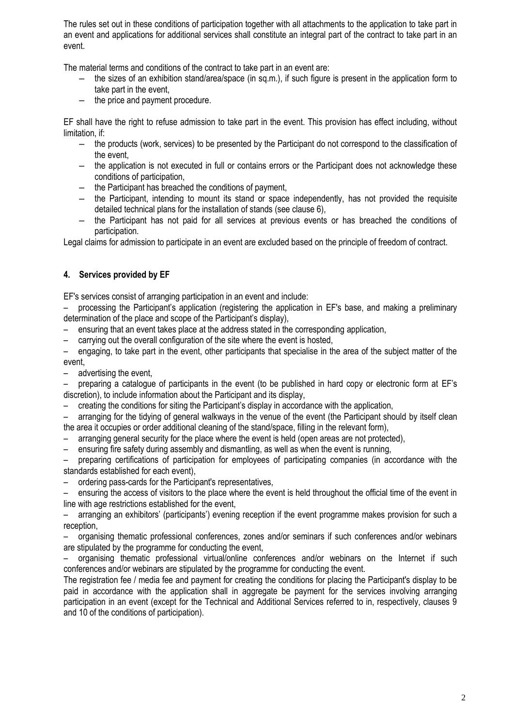The rules set out in these conditions of participation together with all attachments to the application to take part in an event and applications for additional services shall constitute an integral part of the contract to take part in an event.

The material terms and conditions of the contract to take part in an event are:

- the sizes of an exhibition stand/area/space (in sq.m.), if such figure is present in the application form to take part in the event,
- the price and payment procedure.

EF shall have the right to refuse admission to take part in the event. This provision has effect including, without limitation, if:

- the products (work, services) to be presented by the Participant do not correspond to the classification of the event,
- the application is not executed in full or contains errors or the Participant does not acknowledge these conditions of participation,
- the Participant has breached the conditions of payment,
- the Participant, intending to mount its stand or space independently, has not provided the requisite detailed technical plans for the installation of stands (see clause 6),
- the Participant has not paid for all services at previous events or has breached the conditions of participation.

Legal claims for admission to participate in an event are excluded based on the principle of freedom of contract.

#### **4. Services provided by EF**

EF's services consist of arranging participation in an event and include:

– processing the Participant's application (registering the application in EF's base, and making a preliminary determination of the place and scope of the Participant's display),

- ensuring that an event takes place at the address stated in the corresponding application,
- carrying out the overall configuration of the site where the event is hosted,

– engaging, to take part in the event, other participants that specialise in the area of the subject matter of the event,

– advertising the event,

– preparing a catalogue of participants in the event (to be published in hard copy or electronic form at EF's discretion), to include information about the Participant and its display,

– creating the conditions for siting the Participant's display in accordance with the application,

– arranging for the tidying of general walkways in the venue of the event (the Participant should by itself clean the area it occupies or order additional cleaning of the stand/space, filling in the relevant form),

- arranging general security for the place where the event is held (open areas are not protected),
- ensuring fire safety during assembly and dismantling, as well as when the event is running,

– preparing certifications of participation for employees of participating companies (in accordance with the standards established for each event),

– ordering pass-cards for the Participant's representatives,

– ensuring the access of visitors to the place where the event is held throughout the official time of the event in line with age restrictions established for the event,

– arranging an exhibitors' (participants') evening reception if the event programme makes provision for such a reception,

– organising thematic professional conferences, zones and/or seminars if such conferences and/or webinars are stipulated by the programme for conducting the event,

– organising thematic professional virtual/online conferences and/or webinars on the Internet if such conferences and/or webinars are stipulated by the programme for conducting the event.

The registration fee / media fee and payment for creating the conditions for placing the Participant's display to be paid in accordance with the application shall in aggregate be payment for the services involving arranging participation in an event (except for the Technical and Additional Services referred to in, respectively, clauses 9 and 10 of the conditions of participation).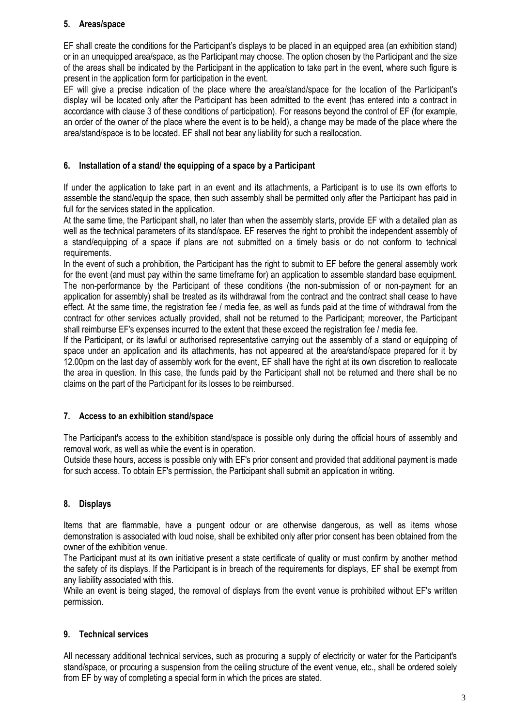#### **5. Areas/space**

EF shall create the conditions for the Participant's displays to be placed in an equipped area (an exhibition stand) or in an unequipped area/space, as the Participant may choose. The option chosen by the Participant and the size of the areas shall be indicated by the Participant in the application to take part in the event, where such figure is present in the application form for participation in the event.

EF will give a precise indication of the place where the area/stand/space for the location of the Participant's display will be located only after the Participant has been admitted to the event (has entered into a contract in accordance with clause 3 of these conditions of participation). For reasons beyond the control of EF (for example, an order of the owner of the place where the event is to be held), a change may be made of the place where the area/stand/space is to be located. EF shall not bear any liability for such a reallocation.

#### **6. Installation of a stand/ the equipping of a space by a Participant**

If under the application to take part in an event and its attachments, a Participant is to use its own efforts to assemble the stand/equip the space, then such assembly shall be permitted only after the Participant has paid in full for the services stated in the application.

At the same time, the Participant shall, no later than when the assembly starts, provide EF with a detailed plan as well as the technical parameters of its stand/space. EF reserves the right to prohibit the independent assembly of a stand/equipping of a space if plans are not submitted on a timely basis or do not conform to technical requirements.

In the event of such a prohibition, the Participant has the right to submit to EF before the general assembly work for the event (and must pay within the same timeframe for) an application to assemble standard base equipment. The non-performance by the Participant of these conditions (the non-submission of or non-payment for an application for assembly) shall be treated as its withdrawal from the contract and the contract shall cease to have effect. At the same time, the registration fee / media fee, as well as funds paid at the time of withdrawal from the contract for other services actually provided, shall not be returned to the Participant; moreover, the Participant shall reimburse EF's expenses incurred to the extent that these exceed the registration fee / media fee.

If the Participant, or its lawful or authorised representative carrying out the assembly of a stand or equipping of space under an application and its attachments, has not appeared at the area/stand/space prepared for it by 12.00pm on the last day of assembly work for the event, EF shall have the right at its own discretion to reallocate the area in question. In this case, the funds paid by the Participant shall not be returned and there shall be no claims on the part of the Participant for its losses to be reimbursed.

#### **7. Access to an exhibition stand/space**

The Participant's access to the exhibition stand/space is possible only during the official hours of assembly and removal work, as well as while the event is in operation.

Outside these hours, access is possible only with EF's prior consent and provided that additional payment is made for such access. To obtain EF's permission, the Participant shall submit an application in writing.

#### **8. Displays**

Items that are flammable, have a pungent odour or are otherwise dangerous, as well as items whose demonstration is associated with loud noise, shall be exhibited only after prior consent has been obtained from the owner of the exhibition venue.

The Participant must at its own initiative present a state certificate of quality or must confirm by another method the safety of its displays. If the Participant is in breach of the requirements for displays, EF shall be exempt from any liability associated with this.

While an event is being staged, the removal of displays from the event venue is prohibited without EF's written permission.

#### **9. Technical services**

All necessary additional technical services, such as procuring a supply of electricity or water for the Participant's stand/space, or procuring a suspension from the ceiling structure of the event venue, etc., shall be ordered solely from EF by way of completing a special form in which the prices are stated.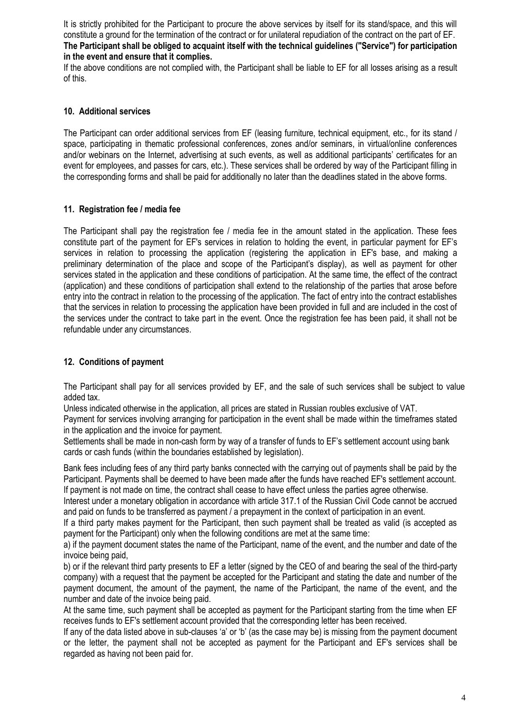It is strictly prohibited for the Participant to procure the above services by itself for its stand/space, and this will constitute a ground for the termination of the contract or for unilateral repudiation of the contract on the part of EF. **The Participant shall be obliged to acquaint itself with the technical guidelines ("Service") for participation in the event and ensure that it complies.** 

If the above conditions are not complied with, the Participant shall be liable to EF for all losses arising as a result of this.

#### **10. Additional services**

The Participant can order additional services from EF (leasing furniture, technical equipment, etc., for its stand / space, participating in thematic professional conferences, zones and/or seminars, in virtual/online conferences and/or webinars on the Internet, advertising at such events, as well as additional participants' certificates for an event for employees, and passes for cars, etc.). These services shall be ordered by way of the Participant filling in the corresponding forms and shall be paid for additionally no later than the deadlines stated in the above forms.

#### **11. Registration fee / media fee**

The Participant shall pay the registration fee / media fee in the amount stated in the application. These fees constitute part of the payment for EF's services in relation to holding the event, in particular payment for EF's services in relation to processing the application (registering the application in EF's base, and making a preliminary determination of the place and scope of the Participant's display), as well as payment for other services stated in the application and these conditions of participation. At the same time, the effect of the contract (application) and these conditions of participation shall extend to the relationship of the parties that arose before entry into the contract in relation to the processing of the application. The fact of entry into the contract establishes that the services in relation to processing the application have been provided in full and are included in the cost of the services under the contract to take part in the event. Once the registration fee has been paid, it shall not be refundable under any circumstances.

#### **12. Conditions of payment**

The Participant shall pay for all services provided by EF, and the sale of such services shall be subject to value added tax.

Unless indicated otherwise in the application, all prices are stated in Russian roubles exclusive of VAT.

Payment for services involving arranging for participation in the event shall be made within the timeframes stated in the application and the invoice for payment.

Settlements shall be made in non-cash form by way of a transfer of funds to EF's settlement account using bank cards or cash funds (within the boundaries established by legislation).

Bank fees including fees of any third party banks connected with the carrying out of payments shall be paid by the Participant. Payments shall be deemed to have been made after the funds have reached EF's settlement account. If payment is not made on time, the contract shall cease to have effect unless the parties agree otherwise.

Interest under a monetary obligation in accordance with article 317.1 of the Russian Civil Code cannot be accrued and paid on funds to be transferred as payment / a prepayment in the context of participation in an event.

If a third party makes payment for the Participant, then such payment shall be treated as valid (is accepted as payment for the Participant) only when the following conditions are met at the same time:

a) if the payment document states the name of the Participant, name of the event, and the number and date of the invoice being paid,

b) or if the relevant third party presents to EF a letter (signed by the CEO of and bearing the seal of the third-party company) with a request that the payment be accepted for the Participant and stating the date and number of the payment document, the amount of the payment, the name of the Participant, the name of the event, and the number and date of the invoice being paid.

At the same time, such payment shall be accepted as payment for the Participant starting from the time when EF receives funds to EF's settlement account provided that the corresponding letter has been received.

If any of the data listed above in sub-clauses 'a' or 'b' (as the case may be) is missing from the payment document or the letter, the payment shall not be accepted as payment for the Participant and EF's services shall be regarded as having not been paid for.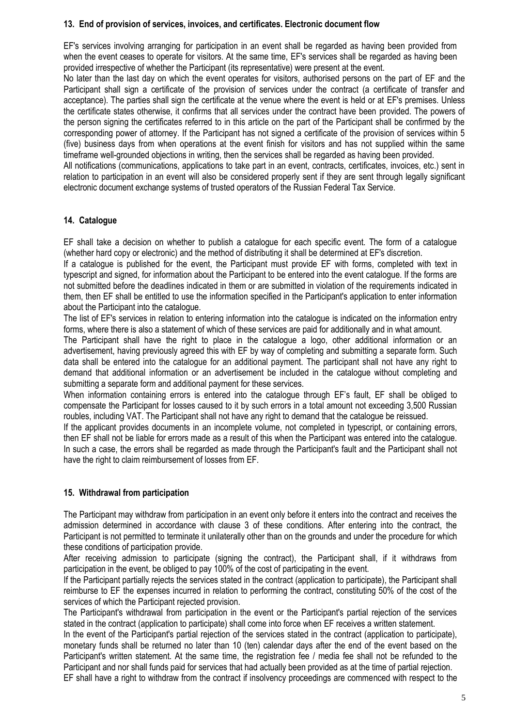#### **13. End of provision of services, invoices, and certificates. Electronic document flow**

EF's services involving arranging for participation in an event shall be regarded as having been provided from when the event ceases to operate for visitors. At the same time, EF's services shall be regarded as having been provided irrespective of whether the Participant (its representative) were present at the event.

No later than the last day on which the event operates for visitors, authorised persons on the part of EF and the Participant shall sign a certificate of the provision of services under the contract (a certificate of transfer and acceptance). The parties shall sign the certificate at the venue where the event is held or at EF's premises. Unless the certificate states otherwise, it confirms that all services under the contract have been provided. The powers of the person signing the certificates referred to in this article on the part of the Participant shall be confirmed by the corresponding power of attorney. If the Participant has not signed a certificate of the provision of services within 5 (five) business days from when operations at the event finish for visitors and has not supplied within the same timeframe well-grounded objections in writing, then the services shall be regarded as having been provided.

All notifications (communications, applications to take part in an event, contracts, certificates, invoices, etc.) sent in relation to participation in an event will also be considered properly sent if they are sent through legally significant electronic document exchange systems of trusted operators of the Russian Federal Tax Service.

## **14. Catalogue**

EF shall take a decision on whether to publish a catalogue for each specific event. The form of a catalogue (whether hard copy or electronic) and the method of distributing it shall be determined at EF's discretion.

If a catalogue is published for the event, the Participant must provide EF with forms, completed with text in typescript and signed, for information about the Participant to be entered into the event catalogue. If the forms are not submitted before the deadlines indicated in them or are submitted in violation of the requirements indicated in them, then EF shall be entitled to use the information specified in the Participant's application to enter information about the Participant into the catalogue.

The list of EF's services in relation to entering information into the catalogue is indicated on the information entry forms, where there is also a statement of which of these services are paid for additionally and in what amount.

The Participant shall have the right to place in the catalogue a logo, other additional information or an advertisement, having previously agreed this with EF by way of completing and submitting a separate form. Such data shall be entered into the catalogue for an additional payment. The participant shall not have any right to demand that additional information or an advertisement be included in the catalogue without completing and submitting a separate form and additional payment for these services.

When information containing errors is entered into the catalogue through EF's fault. EF shall be obliged to compensate the Participant for losses caused to it by such errors in a total amount not exceeding 3,500 Russian roubles, including VAT. The Participant shall not have any right to demand that the catalogue be reissued.

If the applicant provides documents in an incomplete volume, not completed in typescript, or containing errors, then EF shall not be liable for errors made as a result of this when the Participant was entered into the catalogue. In such a case, the errors shall be regarded as made through the Participant's fault and the Participant shall not have the right to claim reimbursement of losses from EF.

#### **15. Withdrawal from participation**

The Participant may withdraw from participation in an event only before it enters into the contract and receives the admission determined in accordance with clause 3 of these conditions. After entering into the contract, the Participant is not permitted to terminate it unilaterally other than on the grounds and under the procedure for which these conditions of participation provide.

After receiving admission to participate (signing the contract), the Participant shall, if it withdraws from participation in the event, be obliged to pay 100% of the cost of participating in the event.

If the Participant partially rejects the services stated in the contract (application to participate), the Participant shall reimburse to EF the expenses incurred in relation to performing the contract, constituting 50% of the cost of the services of which the Participant rejected provision.

The Participant's withdrawal from participation in the event or the Participant's partial rejection of the services stated in the contract (application to participate) shall come into force when EF receives a written statement.

In the event of the Participant's partial rejection of the services stated in the contract (application to participate), monetary funds shall be returned no later than 10 (ten) calendar days after the end of the event based on the Participant's written statement. At the same time, the registration fee / media fee shall not be refunded to the Participant and nor shall funds paid for services that had actually been provided as at the time of partial rejection. EF shall have a right to withdraw from the contract if insolvency proceedings are commenced with respect to the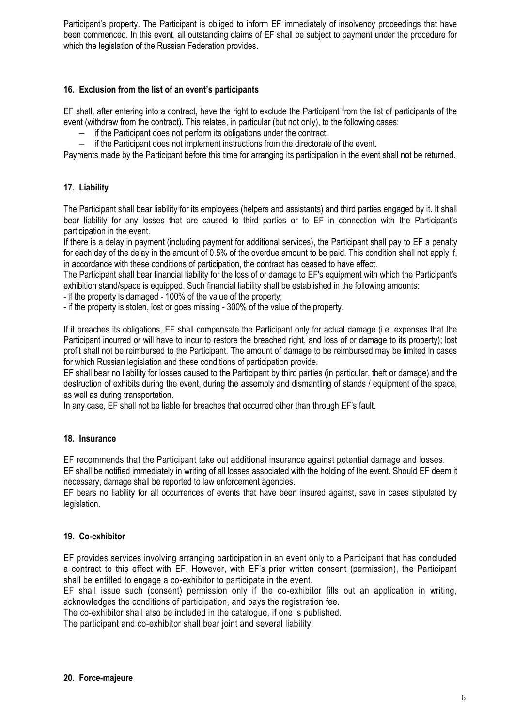Participant's property. The Participant is obliged to inform EF immediately of insolvency proceedings that have been commenced. In this event, all outstanding claims of EF shall be subject to payment under the procedure for which the legislation of the Russian Federation provides.

## **16. Exclusion from the list of an event's participants**

EF shall, after entering into a contract, have the right to exclude the Participant from the list of participants of the event (withdraw from the contract). This relates, in particular (but not only), to the following cases:

- if the Participant does not perform its obligations under the contract,
- if the Participant does not implement instructions from the directorate of the event.

Payments made by the Participant before this time for arranging its participation in the event shall not be returned.

## **17. Liability**

The Participant shall bear liability for its employees (helpers and assistants) and third parties engaged by it. It shall bear liability for any losses that are caused to third parties or to EF in connection with the Participant's participation in the event.

If there is a delay in payment (including payment for additional services), the Participant shall pay to EF a penalty for each day of the delay in the amount of 0.5% of the overdue amount to be paid. This condition shall not apply if, in accordance with these conditions of participation, the contract has ceased to have effect.

The Participant shall bear financial liability for the loss of or damage to EF's equipment with which the Participant's exhibition stand/space is equipped. Such financial liability shall be established in the following amounts:

- if the property is damaged - 100% of the value of the property;

- if the property is stolen, lost or goes missing - 300% of the value of the property.

If it breaches its obligations, EF shall compensate the Participant only for actual damage (i.e. expenses that the Participant incurred or will have to incur to restore the breached right, and loss of or damage to its property); lost profit shall not be reimbursed to the Participant. The amount of damage to be reimbursed may be limited in cases for which Russian legislation and these conditions of participation provide.

EF shall bear no liability for losses caused to the Participant by third parties (in particular, theft or damage) and the destruction of exhibits during the event, during the assembly and dismantling of stands / equipment of the space, as well as during transportation.

In any case, EF shall not be liable for breaches that occurred other than through EF's fault.

#### **18. Insurance**

EF recommends that the Participant take out additional insurance against potential damage and losses.

EF shall be notified immediately in writing of all losses associated with the holding of the event. Should EF deem it necessary, damage shall be reported to law enforcement agencies.

EF bears no liability for all occurrences of events that have been insured against, save in cases stipulated by legislation.

#### **19. Co-exhibitor**

EF provides services involving arranging participation in an event only to a Participant that has concluded a contract to this effect with EF. However, with EF's prior written consent (permission), the Participant shall be entitled to engage a co-exhibitor to participate in the event.

EF shall issue such (consent) permission only if the co-exhibitor fills out an application in writing, acknowledges the conditions of participation, and pays the registration fee.

The co-exhibitor shall also be included in the catalogue, if one is published.

The participant and co-exhibitor shall bear joint and several liability.